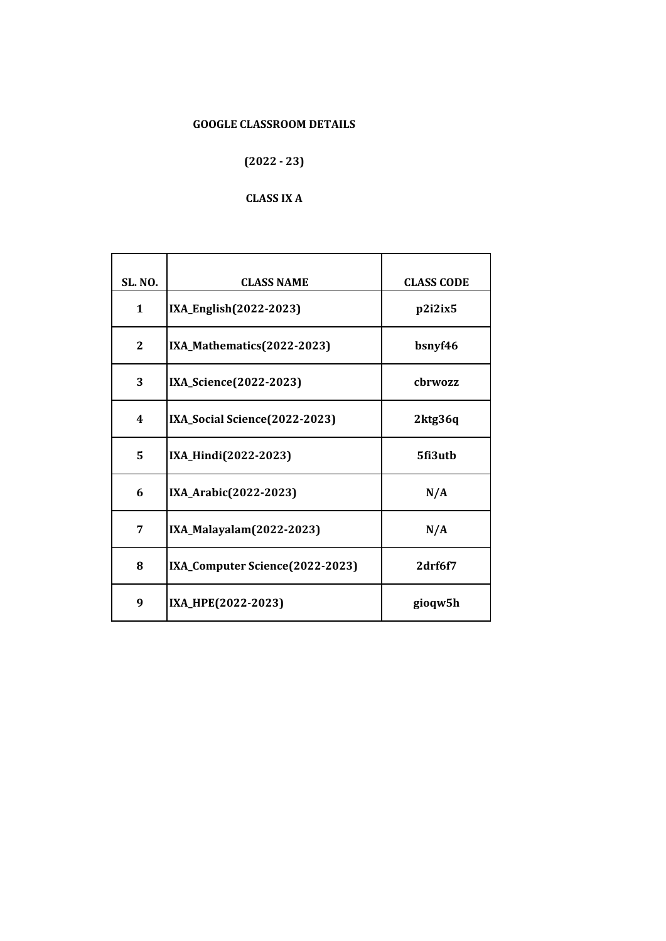# **(2022 - 23)**

## **CLASS IX A**

| <b>SL. NO.</b> | <b>CLASS NAME</b>               | <b>CLASS CODE</b> |
|----------------|---------------------------------|-------------------|
| 1              | IXA_English(2022-2023)          | p2i2ix5           |
| $\mathbf{2}$   | IXA_Mathematics(2022-2023)      | bsnyf46           |
| 3              | IXA_Science(2022-2023)          | chrwozz           |
| 4              | IXA_Social Science(2022-2023)   | 2ktg36q           |
| 5              | IXA_Hindi(2022-2023)            | 5fi3uth           |
| 6              | IXA_Arabic(2022-2023)           | N/A               |
| 7              | IXA_Malayalam(2022-2023)        | N/A               |
| 8              | IXA_Computer Science(2022-2023) | 2drf6f7           |
| 9              | IXA_HPE(2022-2023)              | gioqw5h           |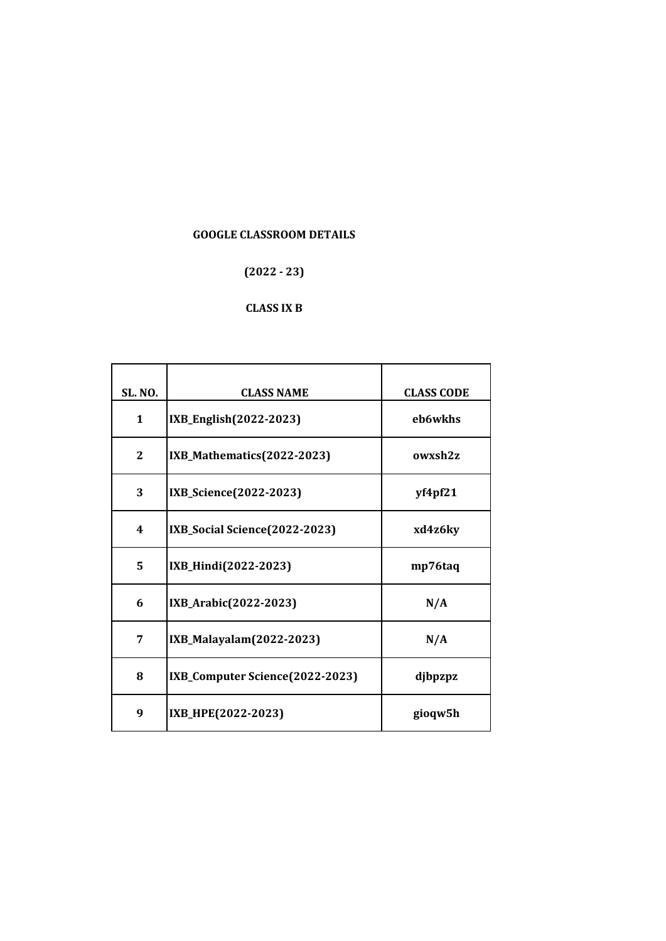## **(2022 - 23)**

#### **CLASS IX B**

| <b>SL. NO.</b> | <b>CLASS NAME</b>               | <b>CLASS CODE</b> |
|----------------|---------------------------------|-------------------|
| $\mathbf{1}$   | IXB_English(2022-2023)          | eb6wkhs           |
| $\mathbf{2}$   | IXB_Mathematics(2022-2023)      | owxsh2z           |
| 3              | IXB_Science(2022-2023)          | yf4pf21           |
| 4              | IXB_Social Science(2022-2023)   | xd4z6ky           |
| 5              | IXB_Hindi(2022-2023)            | mp76taq           |
| 6              | IXB_Arabic(2022-2023)           | N/A               |
| 7              | IXB_Malayalam(2022-2023)        | N/A               |
| 8              | IXB_Computer Science(2022-2023) | djbpzpz           |
| 9              | IXB_HPE(2022-2023)              | gioqw5h           |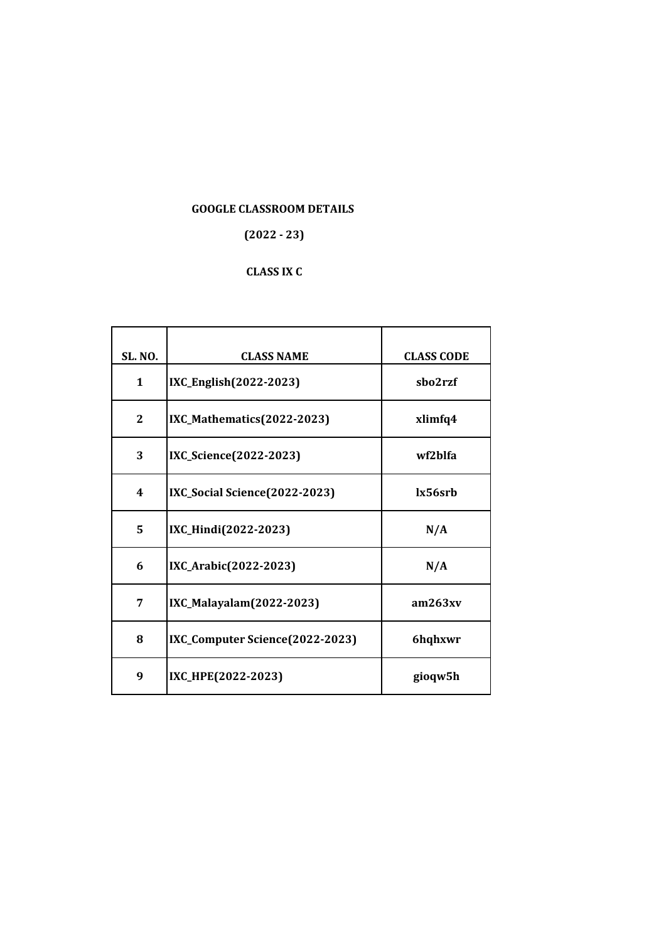## **(2022 - 23)**

## **CLASS IX C**

| <b>SL. NO.</b> | <b>CLASS NAME</b>               | <b>CLASS CODE</b> |
|----------------|---------------------------------|-------------------|
| $\mathbf{1}$   | IXC_English(2022-2023)          | sho2rzf           |
| $\mathbf{2}$   | IXC_Mathematics(2022-2023)      | xlimfq4           |
| 3              | IXC_Science(2022-2023)          | wf2hlfa           |
| 4              | IXC_Social Science(2022-2023)   | lx56srb           |
| 5              | IXC_Hindi(2022-2023)            | N/A               |
| 6              | IXC_Arabic(2022-2023)           | N/A               |
| 7              | IXC_Malayalam(2022-2023)        | am263xy           |
| 8              | IXC_Computer Science(2022-2023) | 6hqhxwr           |
| 9              | IXC_HPE(2022-2023)              | gioqw5h           |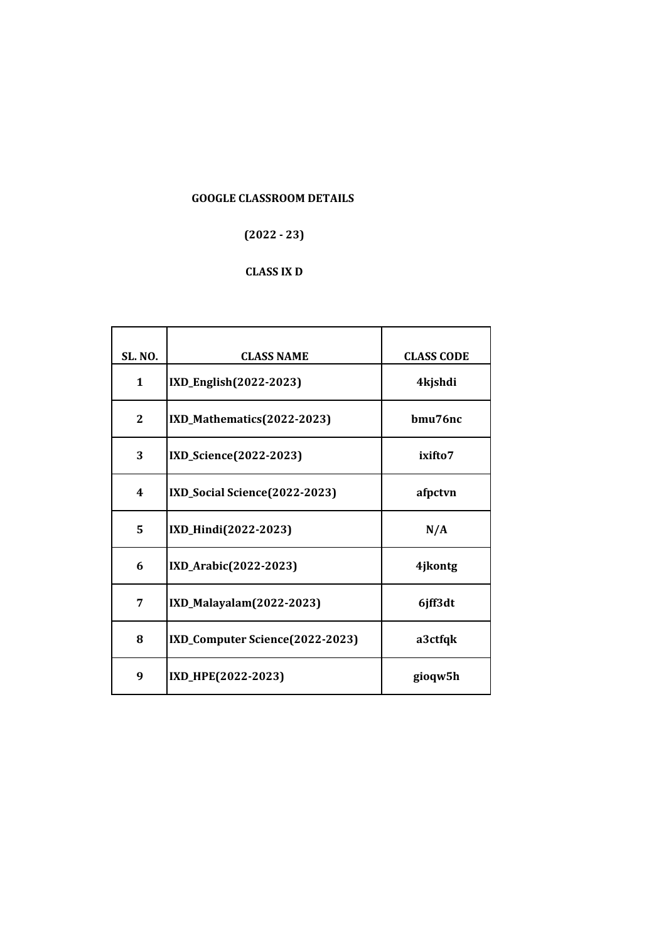## $(2022 - 23)$

## **CLASS IX D**

| <b>SL. NO.</b> | <b>CLASS NAME</b>               | <b>CLASS CODE</b> |
|----------------|---------------------------------|-------------------|
| $\mathbf{1}$   | IXD_English(2022-2023)          | 4kjshdi           |
| $\mathbf{2}$   | IXD_Mathematics(2022-2023)      | hmu76nc           |
| 3              | IXD_Science(2022-2023)          | ixifto7           |
| 4              | IXD_Social Science(2022-2023)   | afpctvn           |
| 5              | IXD_Hindi(2022-2023)            | N/A               |
| 6              | IXD_Arabic(2022-2023)           | 4jkontg           |
| 7              | IXD_Malayalam(2022-2023)        | 6jff3dt           |
| 8              | IXD_Computer Science(2022-2023) | a3ctfqk           |
| 9              | IXD_HPE(2022-2023)              | gioqw5h           |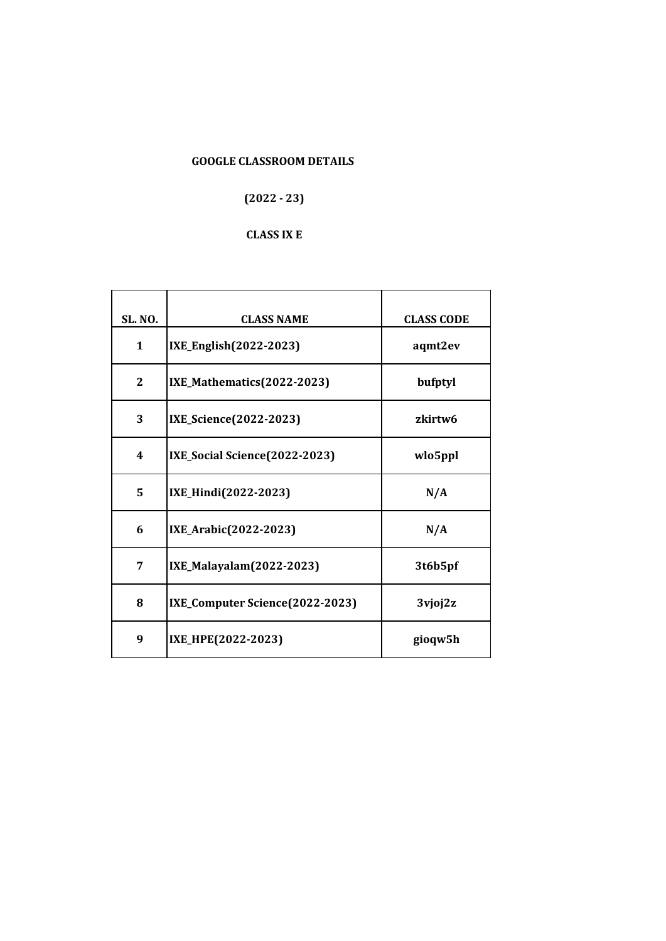## $(2022 - 23)$

#### **CLASS IX E**

| <b>SL. NO.</b> | <b>CLASS NAME</b>               | <b>CLASS CODE</b> |
|----------------|---------------------------------|-------------------|
| $\mathbf{1}$   | IXE_English(2022-2023)          | aqmt2ev           |
| $\mathbf{2}$   | IXE_Mathematics(2022-2023)      | bufptyl           |
| 3              | IXE_Science(2022-2023)          | zkirtw6           |
| 4              | IXE_Social Science(2022-2023)   | wlo5ppl           |
| 5              | IXE_Hindi(2022-2023)            | N/A               |
| 6              | IXE_Arabic(2022-2023)           | N/A               |
| 7              | IXE_Malayalam(2022-2023)        | 3t6b5pf           |
| 8              | IXE_Computer Science(2022-2023) | 3vjoj2z           |
| 9              | IXE_HPE(2022-2023)              | gioqw5h           |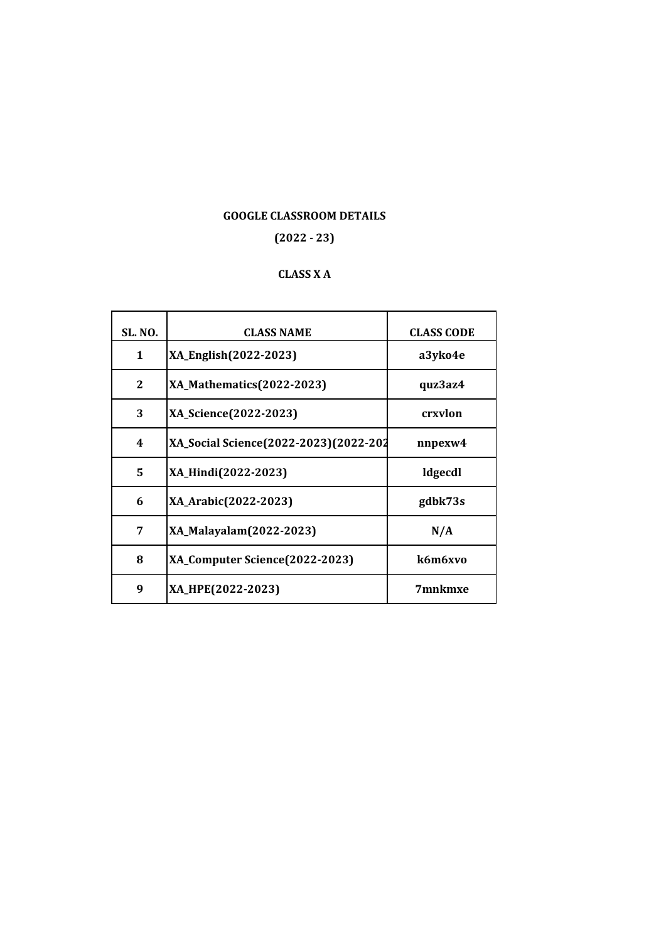#### **(2022 - 23)**

## **CLASS X A**

| <b>SL. NO.</b> | <b>CLASS NAME</b>                     | <b>CLASS CODE</b> |
|----------------|---------------------------------------|-------------------|
| $\mathbf{1}$   | XA_English(2022-2023)                 | a3yko4e           |
| $\mathbf{2}$   | XA_Mathematics(2022-2023)             | quz3az4           |
| 3              | XA_Science(2022-2023)                 | crxvlon           |
| 4              | XA_Social Science(2022-2023)(2022-202 | nnpexw4           |
| 5              | XA_Hindi(2022-2023)                   | ldgecdl           |
| 6              | XA_Arabic(2022-2023)                  | gdbk73s           |
| 7              | XA_Malayalam(2022-2023)               | N/A               |
| 8              | XA_Computer Science(2022-2023)        | k6m6xvo           |
| 9              | XA_HPE(2022-2023)                     | 7mnkmxe           |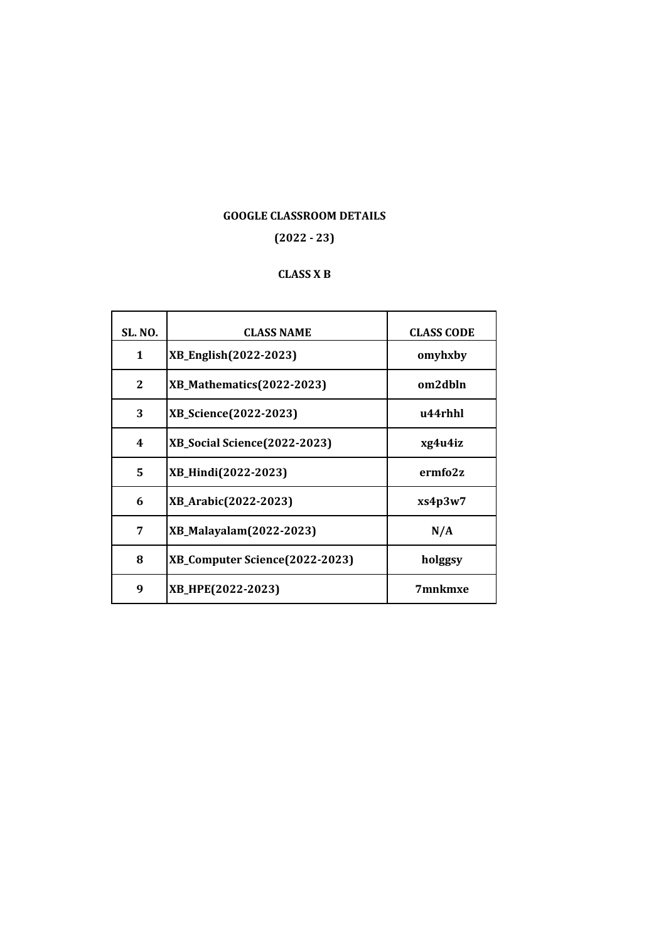## **(2022 - 23)**

## **CLASS X B**

| <b>SL. NO.</b> | <b>CLASS NAME</b>              | <b>CLASS CODE</b> |
|----------------|--------------------------------|-------------------|
| $\mathbf{1}$   | XB_English(2022-2023)          | omyhxby           |
| $\mathbf{2}$   | XB_Mathematics(2022-2023)      | om2dbln           |
| 3              | XB_Science(2022-2023)          | u44rhhl           |
| 4              | XB_Social Science(2022-2023)   | xg4u4iz           |
| 5              | XB_Hindi(2022-2023)            | ermfo2z           |
| 6              | XB_Arabic(2022-2023)           | xs4p3w7           |
| 7              | XB_Malayalam(2022-2023)        | N/A               |
| 8              | XB_Computer Science(2022-2023) | holggsy           |
| 9              | XB_HPE(2022-2023)              | 7mnkmxe           |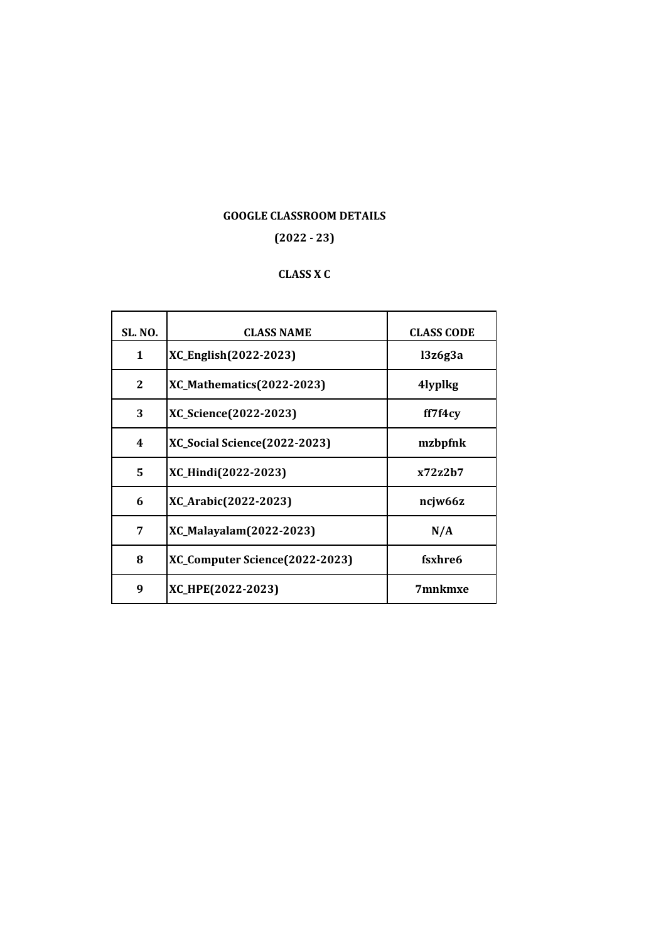## **(2022 - 23)**

## **CLASS X C**

| <b>SL. NO.</b> | <b>CLASS NAME</b>                   | <b>CLASS CODE</b> |
|----------------|-------------------------------------|-------------------|
| $\mathbf{1}$   | XC_English(2022-2023)               | 13z6g3a           |
| $\mathbf{2}$   | <b>XC_Mathematics(2022-2023)</b>    | 4lyplkg           |
| 3              | XC_Science(2022-2023)               | ff7f4cy           |
| 4              | <b>XC_Social Science(2022-2023)</b> | mzbpfnk           |
| 5              | XC_Hindi(2022-2023)                 | x72z2h7           |
| 6              | XC_Arabic(2022-2023)                | ncjw66z           |
| 7              | XC_Malayalam(2022-2023)             | N/A               |
| 8              | XC_Computer Science(2022-2023)      | fsxhre6           |
| 9              | XC_HPE(2022-2023)                   | 7mnkmxe           |